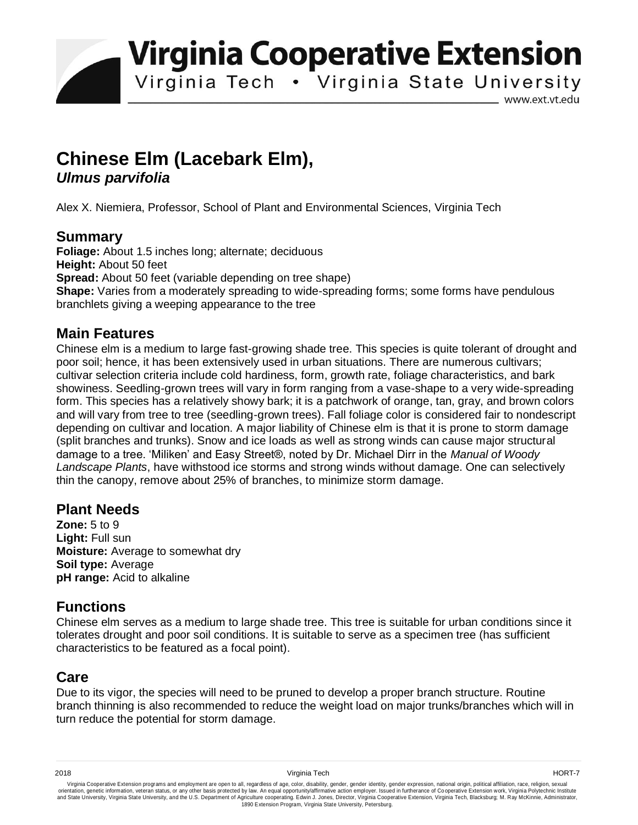**Virginia Cooperative Extension** 

Virginia Tech . Virginia State University

www.ext.vt.edu

# **Chinese Elm (Lacebark Elm),**  *Ulmus parvifolia*

Alex X. Niemiera, Professor, School of Plant and Environmental Sciences, Virginia Tech

## **Summary**

**Foliage:** About 1.5 inches long; alternate; deciduous **Height:** About 50 feet **Spread:** About 50 feet (variable depending on tree shape) **Shape:** Varies from a moderately spreading to wide-spreading forms; some forms have pendulous branchlets giving a weeping appearance to the tree

### **Main Features**

Chinese elm is a medium to large fast-growing shade tree. This species is quite tolerant of drought and poor soil; hence, it has been extensively used in urban situations. There are numerous cultivars; cultivar selection criteria include cold hardiness, form, growth rate, foliage characteristics, and bark showiness. Seedling-grown trees will vary in form ranging from a vase-shape to a very wide-spreading form. This species has a relatively showy bark; it is a patchwork of orange, tan, gray, and brown colors and will vary from tree to tree (seedling-grown trees). Fall foliage color is considered fair to nondescript depending on cultivar and location. A major liability of Chinese elm is that it is prone to storm damage (split branches and trunks). Snow and ice loads as well as strong winds can cause major structural damage to a tree. 'Miliken' and Easy Street®, noted by Dr. Michael Dirr in the *Manual of Woody Landscape Plants*, have withstood ice storms and strong winds without damage. One can selectively thin the canopy, remove about 25% of branches, to minimize storm damage.

#### **Plant Needs**

**Zone:** 5 to 9 **Light:** Full sun **Moisture:** Average to somewhat dry **Soil type:** Average **pH range:** Acid to alkaline

## **Functions**

Chinese elm serves as a medium to large shade tree. This tree is suitable for urban conditions since it tolerates drought and poor soil conditions. It is suitable to serve as a specimen tree (has sufficient characteristics to be featured as a focal point).

## **Care**

Due to its vigor, the species will need to be pruned to develop a proper branch structure. Routine branch thinning is also recommended to reduce the weight load on major trunks/branches which will in turn reduce the potential for storm damage.

Virginia Cooperative Extension programs and employment are open to all, regardless of age, color, disability, gender, gender identity, gender expression, national origin, political affiliation, race, religion, sexual وrie 1890 Extension Program, Virginia State University, Petersburg.